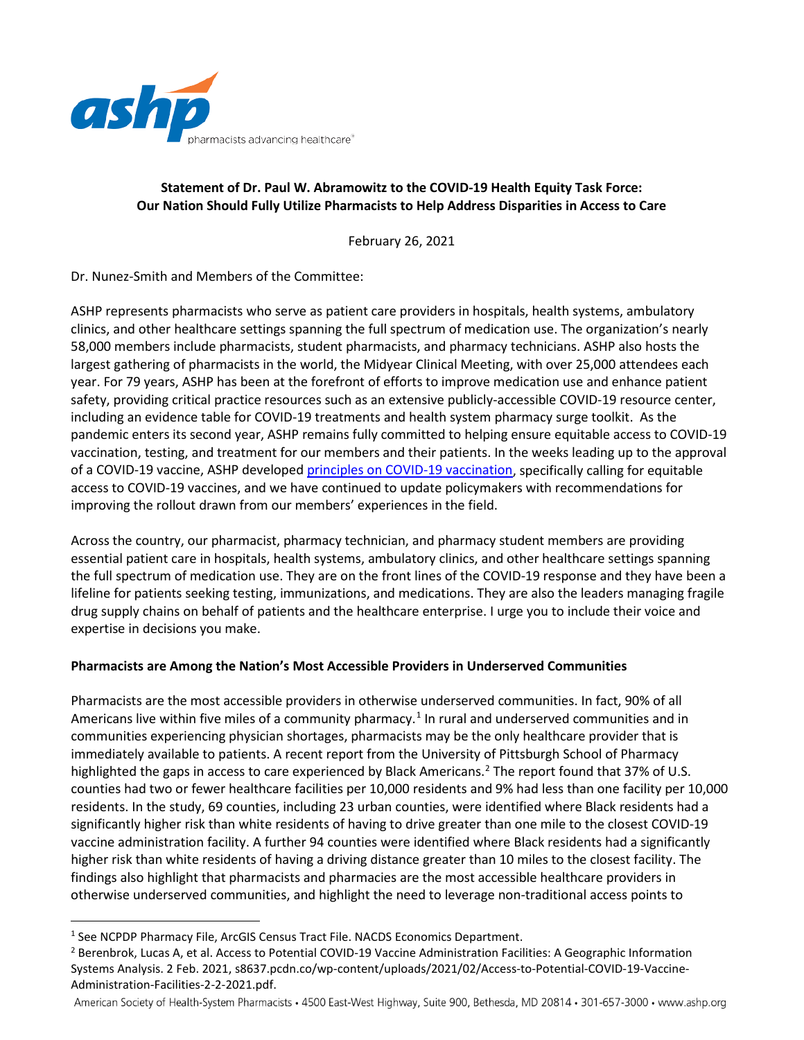

# **Statement of Dr. Paul W. Abramowitz to the COVID-19 Health Equity Task Force: Our Nation Should Fully Utilize Pharmacists to Help Address Disparities in Access to Care**

February 26, 2021

Dr. Nunez-Smith and Members of the Committee:

ASHP represents pharmacists who serve as patient care providers in hospitals, health systems, ambulatory clinics, and other healthcare settings spanning the full spectrum of medication use. The organization's nearly 58,000 members include pharmacists, student pharmacists, and pharmacy technicians. ASHP also hosts the largest gathering of pharmacists in the world, the Midyear Clinical Meeting, with over 25,000 attendees each year. For 79 years, ASHP has been at the forefront of efforts to improve medication use and enhance patient safety, providing critical practice resources such as an extensive publicly-accessible COVID-19 resource center, including an evidence table for COVID-19 treatments and health system pharmacy surge toolkit. As the pandemic enters its second year, ASHP remains fully committed to helping ensure equitable access to COVID-19 vaccination, testing, and treatment for our members and their patients. In the weeks leading up to the approval of a COVID-19 vaccine, ASHP developed principles [on COVID-19 vaccination,](https://www.ashp.org/-/media/assets/pharmacy-practice/resource-centers/Coronavirus/docs/ASHP-Principles-for-COVID-19-Vaccine.ashx?la=en&hash=8E0E4973769AC1D154C4780EE84DCC6751CE1845) specifically calling for equitable access to COVID-19 vaccines, and we have continued to update policymakers with recommendations for improving the rollout drawn from our members' experiences in the field.

Across the country, our pharmacist, pharmacy technician, and pharmacy student members are providing essential patient care in hospitals, health systems, ambulatory clinics, and other healthcare settings spanning the full spectrum of medication use. They are on the front lines of the COVID-19 response and they have been a lifeline for patients seeking testing, immunizations, and medications. They are also the leaders managing fragile drug supply chains on behalf of patients and the healthcare enterprise. I urge you to include their voice and expertise in decisions you make.

# **Pharmacists are Among the Nation's Most Accessible Providers in Underserved Communities**

Pharmacists are the most accessible providers in otherwise underserved communities. In fact, 90% of all Americans live within five miles of a community pharmacy.<sup>[1](#page-0-0)</sup> In rural and underserved communities and in communities experiencing physician shortages, pharmacists may be the only healthcare provider that is immediately available to patients. A recent report from the University of Pittsburgh School of Pharmacy highlighted the gaps in access to care experienced by Black Americans.<sup>[2](#page-0-1)</sup> The report found that 37% of U.S. counties had two or fewer healthcare facilities per 10,000 residents and 9% had less than one facility per 10,000 residents. In the study, 69 counties, including 23 urban counties, were identified where Black residents had a significantly higher risk than white residents of having to drive greater than one mile to the closest COVID-19 vaccine administration facility. A further 94 counties were identified where Black residents had a significantly higher risk than white residents of having a driving distance greater than 10 miles to the closest facility. The findings also highlight that pharmacists and pharmacies are the most accessible healthcare providers in otherwise underserved communities, and highlight the need to leverage non-traditional access points to

 $\overline{a}$ 

American Society of Health-System Pharmacists • 4500 East-West Highway, Suite 900, Bethesda, MD 20814 • 301-657-3000 • www.ashp.org

<span id="page-0-0"></span><sup>&</sup>lt;sup>1</sup> See NCPDP Pharmacy File, ArcGIS Census Tract File. NACDS Economics Department.

<span id="page-0-1"></span><sup>&</sup>lt;sup>2</sup> Berenbrok, Lucas A, et al. Access to Potential COVID-19 Vaccine Administration Facilities: A Geographic Information Systems Analysis. 2 Feb. 2021, s8637.pcdn.co/wp-content/uploads/2021/02/Access-to-Potential-COVID-19-Vaccine-Administration-Facilities-2-2-2021.pdf.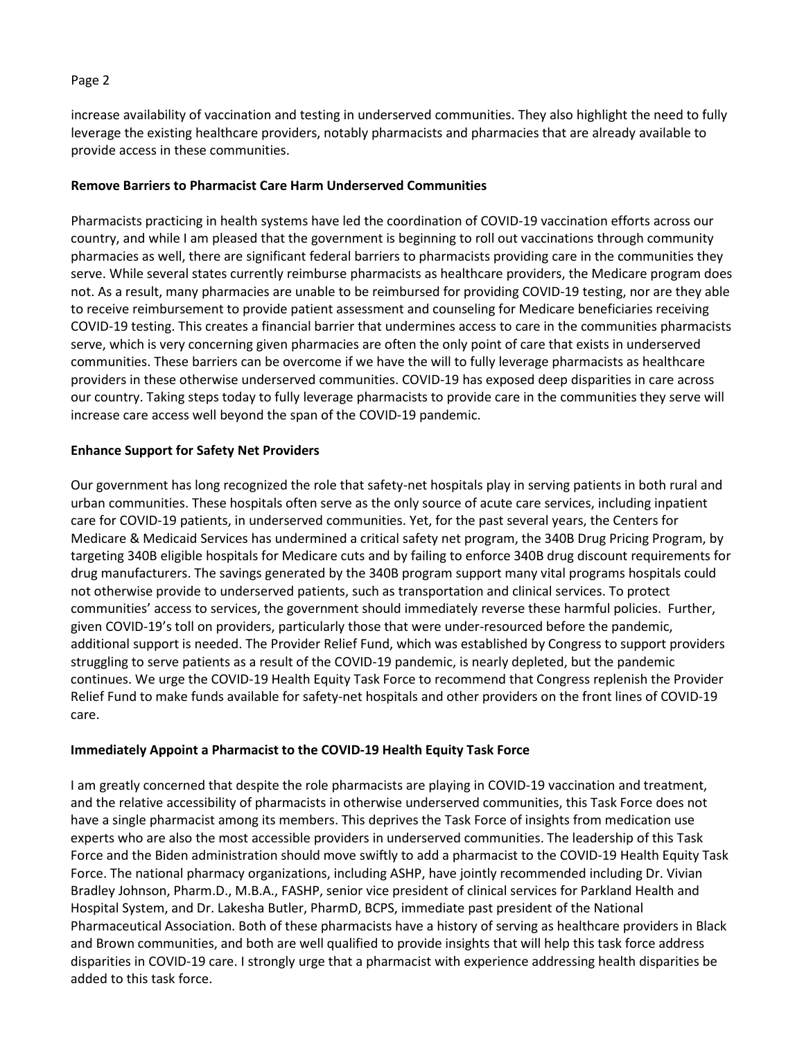### Page 2

increase availability of vaccination and testing in underserved communities. They also highlight the need to fully leverage the existing healthcare providers, notably pharmacists and pharmacies that are already available to provide access in these communities.

### **Remove Barriers to Pharmacist Care Harm Underserved Communities**

Pharmacists practicing in health systems have led the coordination of COVID-19 vaccination efforts across our country, and while I am pleased that the government is beginning to roll out vaccinations through community pharmacies as well, there are significant federal barriers to pharmacists providing care in the communities they serve. While several states currently reimburse pharmacists as healthcare providers, the Medicare program does not. As a result, many pharmacies are unable to be reimbursed for providing COVID-19 testing, nor are they able to receive reimbursement to provide patient assessment and counseling for Medicare beneficiaries receiving COVID-19 testing. This creates a financial barrier that undermines access to care in the communities pharmacists serve, which is very concerning given pharmacies are often the only point of care that exists in underserved communities. These barriers can be overcome if we have the will to fully leverage pharmacists as healthcare providers in these otherwise underserved communities. COVID-19 has exposed deep disparities in care across our country. Taking steps today to fully leverage pharmacists to provide care in the communities they serve will increase care access well beyond the span of the COVID-19 pandemic.

### **Enhance Support for Safety Net Providers**

Our government has long recognized the role that safety-net hospitals play in serving patients in both rural and urban communities. These hospitals often serve as the only source of acute care services, including inpatient care for COVID-19 patients, in underserved communities. Yet, for the past several years, the Centers for Medicare & Medicaid Services has undermined a critical safety net program, the 340B Drug Pricing Program, by targeting 340B eligible hospitals for Medicare cuts and by failing to enforce 340B drug discount requirements for drug manufacturers. The savings generated by the 340B program support many vital programs hospitals could not otherwise provide to underserved patients, such as transportation and clinical services. To protect communities' access to services, the government should immediately reverse these harmful policies. Further, given COVID-19's toll on providers, particularly those that were under-resourced before the pandemic, additional support is needed. The Provider Relief Fund, which was established by Congress to support providers struggling to serve patients as a result of the COVID-19 pandemic, is nearly depleted, but the pandemic continues. We urge the COVID-19 Health Equity Task Force to recommend that Congress replenish the Provider Relief Fund to make funds available for safety-net hospitals and other providers on the front lines of COVID-19 care.

#### **Immediately Appoint a Pharmacist to the COVID-19 Health Equity Task Force**

I am greatly concerned that despite the role pharmacists are playing in COVID-19 vaccination and treatment, and the relative accessibility of pharmacists in otherwise underserved communities, this Task Force does not have a single pharmacist among its members. This deprives the Task Force of insights from medication use experts who are also the most accessible providers in underserved communities. The leadership of this Task Force and the Biden administration should move swiftly to add a pharmacist to the COVID-19 Health Equity Task Force. The national pharmacy organizations, including ASHP, have jointly recommended including Dr. Vivian Bradley Johnson, Pharm.D., M.B.A., FASHP, senior vice president of clinical services for Parkland Health and Hospital System, and Dr. Lakesha Butler, PharmD, BCPS, immediate past president of the National Pharmaceutical Association. Both of these pharmacists have a history of serving as healthcare providers in Black and Brown communities, and both are well qualified to provide insights that will help this task force address disparities in COVID-19 care. I strongly urge that a pharmacist with experience addressing health disparities be added to this task force.